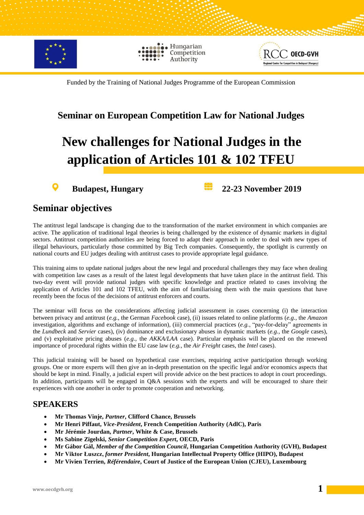

Hungarian Competition Authority



Funded by the Training of National Judges Programme of the European Commission

#### **Seminar on European Competition Law for National Judges**

# **New challenges for National Judges in the application of Articles 101 & 102 TFEU**

O

**Budapest, Hungary 22-23 November 2019**

#### **Seminar objectives**

The antitrust legal landscape is changing due to the transformation of the market environment in which companies are active. The application of traditional legal theories is being challenged by the existence of dynamic markets in digital sectors. Antitrust competition authorities are being forced to adapt their approach in order to deal with new types of illegal behaviours, particularly those committed by Big Tech companies. Consequently, the spotlight is currently on national courts and EU judges dealing with antitrust cases to provide appropriate legal guidance.

This training aims to update national judges about the new legal and procedural challenges they may face when dealing with competition law cases as a result of the latest legal developments that have taken place in the antitrust field. This two-day event will provide national judges with specific knowledge and practice related to cases involving the application of Articles 101 and 102 TFEU, with the aim of familiarising them with the main questions that have recently been the focus of the decisions of antitrust enforcers and courts.

The seminar will focus on the considerations affecting judicial assessment in cases concerning (i) the interaction between privacy and antitrust (*e.g.*, the German *Facebook* case), (ii) issues related to online platforms (*e.g.*, the *Amazon* investigation, algorithms and exchange of information), (iii) commercial practices (*e.g.*, "pay-for-delay" agreements in the *Lundbeck* and *Servier* cases), (iv) dominance and exclusionary abuses in dynamic markets (*e.g.*, the *Google* cases), and (v) exploitative pricing abuses (*e.g.*, the *AKKA/LAA* case). Particular emphasis will be placed on the renewed importance of procedural rights within the EU case law (*e.g.*, the *Air Freight* cases, the *Intel* cases).

This judicial training will be based on hypothetical case exercises, requiring active participation through working groups. One or more experts will then give an in-depth presentation on the specific legal and/or economics aspects that should be kept in mind. Finally, a judicial expert will provide advice on the best practices to adopt in court proceedings. In addition, participants will be engaged in Q&A sessions with the experts and will be encouraged to share their experiences with one another in order to promote cooperation and networking.

#### **SPEAKERS**

- **Mr Thomas Vinje,** *Partner***, Clifford Chance, Brussels**
- **Mr Henri Piffaut,** *Vice-President***, French Competition Authority (AdlC), Paris**
- **Mr Jérémie Jourdan,** *Partner***, White & Case, Brussels**
- **Ms Sabine Zigelski,** *Senior Competition Expert***, OECD, Paris**
- **Mr Gábor Gál,** *Member of the Competition Council***, Hungarian Competition Authority (GVH), Budapest**
- **Mr Viktor Łuszcz,** *former President***, Hungarian Intellectual Property Office (HIPO), Budapest**
- **Mr Vivien Terrien,** *Référendaire***, Court of Justice of the European Union (CJEU), Luxembourg**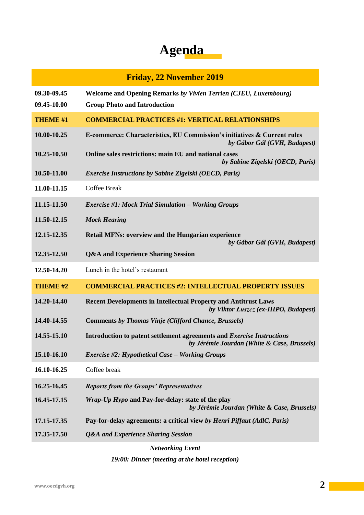## **Agenda**

### **Friday, 22 November 2019 09.30-09.45 Welcome and Opening Remarks** *by Vivien Terrien (CJEU, Luxembourg)* **09.45-10.00 Group Photo and Introduction THEME #1 COMMERCIAL PRACTICES #1: VERTICAL RELATIONSHIPS 10.00-10.25 E-commerce: Characteristics, EU Commission's initiatives & Current rules** *by Gábor Gál (GVH, Budapest)* **10.25-10.50 Online sales restrictions: main EU and national cases**  *by Sabine Zigelski (OECD, Paris)* **10.50-11.00** *Exercise Instructions by Sabine Zigelski (OECD, Paris)* **11.00-11.15** Coffee Break **11.15-11.50** *Exercise #1: Mock Trial Simulation – Working Groups* **11.50-12.15** *Mock Hearing* **12.15-12.35 Retail MFNs: overview and the Hungarian experience** *by Gábor Gál (GVH, Budapest)* **12.35-12.50 Q&A and Experience Sharing Session 12.50-14.20** Lunch in the hotel's restaurant **THEME #2 COMMERCIAL PRACTICES #2: INTELLECTUAL PROPERTY ISSUES 14.20-14.40 Recent Developments in Intellectual Property and Antitrust Laws**  *by Viktor Łuszcz (ex-HIPO, Budapest)* **14.40-14.55 Comments** *by Thomas Vinje (Clifford Chance, Brussels)* **14.55-15.10 Introduction to patent settlement agreements and** *Exercise Instructions by Jérémie Jourdan (White & Case, Brussels)* **15.10-16.10** *Exercise #2: Hypothetical Case – Working Groups* **16.10-16.25** Coffee break **16.25-16.45** *Reports from the Groups' Representatives* **16.45-17.15** *Wrap-Up Hypo* **and Pay-for-delay: state of the play** *by Jérémie Jourdan (White & Case, Brussels)* **17.15-17.35 Pay-for-delay agreements: a critical view** *by Henri Piffaut (AdlC, Paris)* **17.35-17.50** *Q&A and Experience Sharing Session*

*Networking Event*

*19:00: Dinner (meeting at the hotel reception)*